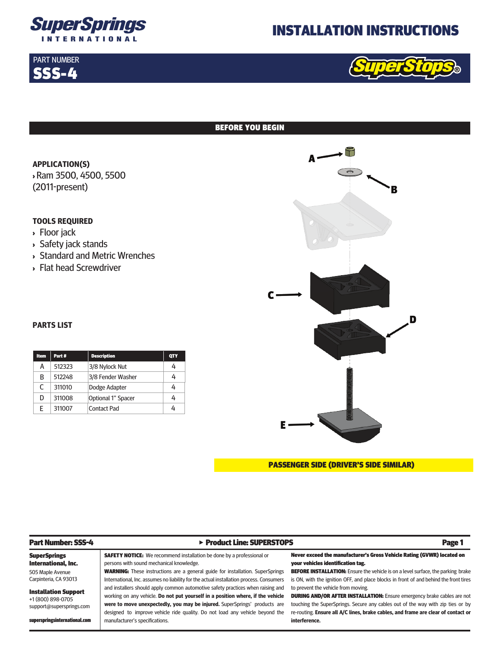

# INSTALLATION INSTRUCTIONS



#### BEFORE YOU BEGIN

**APPLICATION(S)** <sup>&</sup>gt; Ram 3500, 4500, 5500 (2011-present)

## **TOOLS REQUIRED**

<sup>&</sup>gt; Floor jack

PART NUMBER SSS-4

- <sup>&</sup>gt; Safety jack stands
- <sup>&</sup>gt; Standard and Metric Wrenches
- <sup>&</sup>gt; Flat head Screwdriver



#### **PARTS LIST**

| <b>Item</b> | Part # | <b>Description</b> | <b>QTY</b> |
|-------------|--------|--------------------|------------|
| А           | 512323 | 3/8 Nylock Nut     | 4          |
| B           | 512248 | 3/8 Fender Washer  | 4          |
| C           | 311010 | Dodge Adapter      | 4          |
| D           | 311008 | Optional 1" Spacer | 4          |
| F           | 311007 | <b>Contact Pad</b> | 4          |



| <b>Part Number: SSS-4</b>                                                    | ▶ Product Line: SUPERSTOPS                                                                                                                                                                                                                                                                                                      | Page 1                                                                                                                                                                                                                                                                                        |
|------------------------------------------------------------------------------|---------------------------------------------------------------------------------------------------------------------------------------------------------------------------------------------------------------------------------------------------------------------------------------------------------------------------------|-----------------------------------------------------------------------------------------------------------------------------------------------------------------------------------------------------------------------------------------------------------------------------------------------|
| <b>SuperSprings</b><br>International, Inc.                                   | <b>SAFETY NOTICE:</b> We recommend installation be done by a professional or<br>persons with sound mechanical knowledge.                                                                                                                                                                                                        | Never exceed the manufacturer's Gross Vehicle Rating (GVWR) located on<br>your vehicles identification tag.                                                                                                                                                                                   |
| 505 Maple Avenue<br>Carpinteria, CA 93013                                    | <b>WARNING:</b> These instructions are a general guide for installation. SuperSprings<br>International, Inc. assumes no liability for the actual installation process. Consumers                                                                                                                                                | <b>BEFORE INSTALLATION:</b> Ensure the vehicle is on a level surface, the parking brake<br>is ON, with the ignition OFF, and place blocks in front of and behind the front tires                                                                                                              |
| <b>Installation Support</b><br>+1 (800) 898-0705<br>support@supersprings.com | and installers should apply common automotive safety practices when raising and<br>working on any vehicle. Do not put yourself in a position where, if the vehicle<br>were to move unexpectedly, you may be injured. SuperSprings' products are<br>designed to improve vehicle ride quality. Do not load any vehicle beyond the | to prevent the vehicle from moving.<br><b>DURING AND/OR AFTER INSTALLATION:</b> Ensure emergency brake cables are not<br>touching the SuperSprings. Secure any cables out of the way with zip ties or by<br>re-routing. Ensure all A/C lines, brake cables, and frame are clear of contact or |
| superspringsinternational.com                                                | manufacturer's specifications.                                                                                                                                                                                                                                                                                                  | interference.                                                                                                                                                                                                                                                                                 |